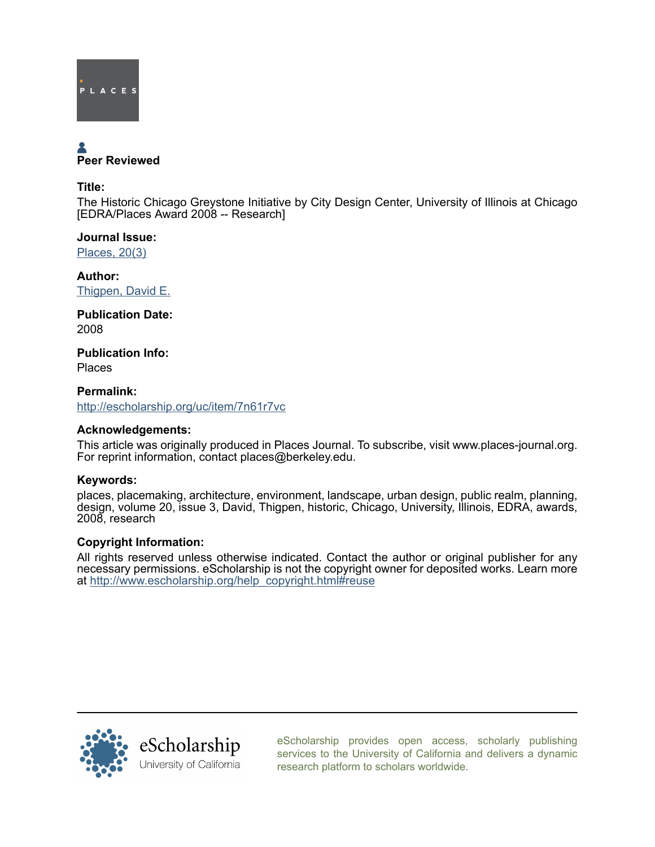

# Peer Reviewed

Title:

The Historic Chicago Greystone Initiative by City Design Center, University of Illinois at Chicago [EDRA/Places Award 2008 -- Research]

Journal Issue: [Places, 20\(3\)](http://escholarship.org/uc/ced_places?volume=20;issue=3)

Author: [Thigpen, David E.](http://escholarship.org/uc/search?creator=Thigpen%2C%20David%20E.)

Publication Date: 2008

Publication Info: Places

Permalink: <http://escholarship.org/uc/item/7n61r7vc>

# Acknowledgements:

This article was originally produced in Places Journal. To subscribe, visit www.places-journal.org. For reprint information, contact places@berkeley.edu.

## Keywords:

places, placemaking, architecture, environment, landscape, urban design, public realm, planning, design, volume 20, issue 3, David, Thigpen, historic, Chicago, University, Illinois, EDRA, awards, 2008, research

## Copyright Information:

All rights reserved unless otherwise indicated. Contact the author or original publisher for any necessary permissions. eScholarship is not the copyright owner for deposited works. Learn more at [http://www.escholarship.org/help\\_copyright.html#reuse](http://www.escholarship.org/help_copyright.html#reuse)



[eScholarship provides open access, scholarly publishing](http://escholarship.org) [services to the University of California and delivers a dynamic](http://escholarship.org) [research platform to scholars worldwide.](http://escholarship.org)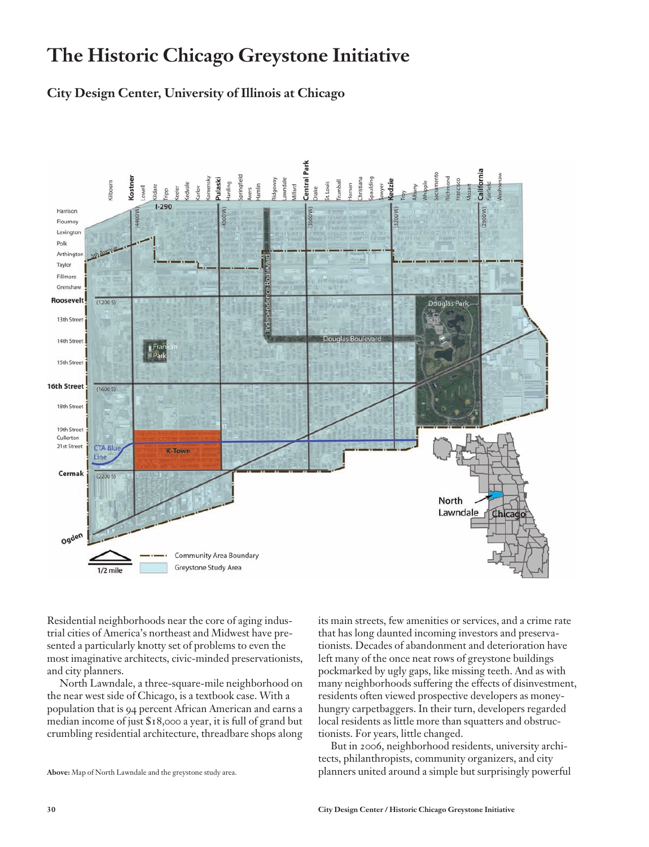# **The Historic Chicago Greystone Initiative**

# **City Design Center, University of Illinois at Chicago**



Residential neighborhoods near the core of aging industrial cities of America's northeast and Midwest have presented a particularly knotty set of problems to even the most imaginative architects, civic-minded preservationists, and city planners.

North Lawndale, a three-square-mile neighborhood on the near west side of Chicago, is a textbook case. With a population that is 94 percent African American and earns a median income of just \$18,000 a year, it is full of grand but crumbling residential architecture, threadbare shops along its main streets, few amenities or services, and a crime rate that has long daunted incoming investors and preservationists. Decades of abandonment and deterioration have left many of the once neat rows of greystone buildings pockmarked by ugly gaps, like missing teeth. And as with many neighborhoods suffering the effects of disinvestment, residents often viewed prospective developers as moneyhungry carpetbaggers. In their turn, developers regarded local residents as little more than squatters and obstructionists. For years, little changed.

But in 2006, neighborhood residents, university architects, philanthropists, community organizers, and city planners united around a simple but surprisingly powerful

**Above:** Map of North Lawndale and the greystone study area.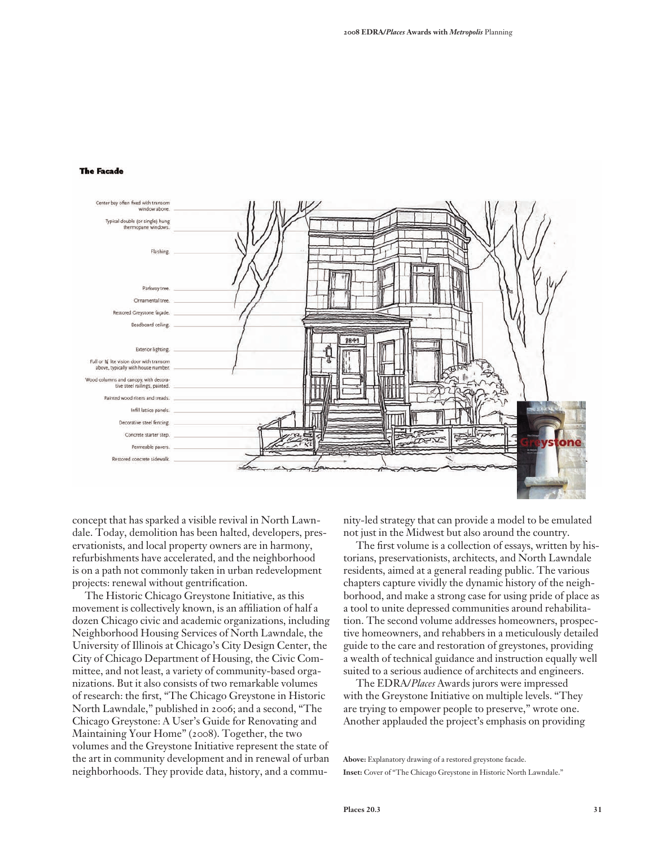#### **The Facade**



concept that has sparked a visible revival in North Lawndale. Today, demolition has been halted, developers, preservationists, and local property owners are in harmony, refurbishments have accelerated, and the neighborhood is on a path not commonly taken in urban redevelopment projects: renewal without gentrification.

The Historic Chicago Greystone Initiative, as this movement is collectively known, is an affiliation of half a dozen Chicago civic and academic organizations, including Neighborhood Housing Services of North Lawndale, the University of Illinois at Chicago's City Design Center, the City of Chicago Department of Housing, the Civic Committee, and not least, a variety of community-based organizations. But it also consists of two remarkable volumes of research: the first, "The Chicago Greystone in Historic North Lawndale," published in 2006; and a second, "The Chicago Greystone: A User's Guide for Renovating and Maintaining Your Home" (2008). Together, the two volumes and the Greystone Initiative represent the state of the art in community development and in renewal of urban neighborhoods. They provide data, history, and a community-led strategy that can provide a model to be emulated not just in the Midwest but also around the country.

The first volume is a collection of essays, written by historians, preservationists, architects, and North Lawndale residents, aimed at a general reading public. The various chapters capture vividly the dynamic history of the neighborhood, and make a strong case for using pride of place as a tool to unite depressed communities around rehabilitation. The second volume addresses homeowners, prospective homeowners, and rehabbers in a meticulously detailed guide to the care and restoration of greystones, providing a wealth of technical guidance and instruction equally well suited to a serious audience of architects and engineers.

The EDRA/*Places* Awards jurors were impressed with the Greystone Initiative on multiple levels. "They are trying to empower people to preserve," wrote one. Another applauded the project's emphasis on providing

**Above:** Explanatory drawing of a restored greystone facade. **Inset:** Cover of "The Chicago Greystone in Historic North Lawndale."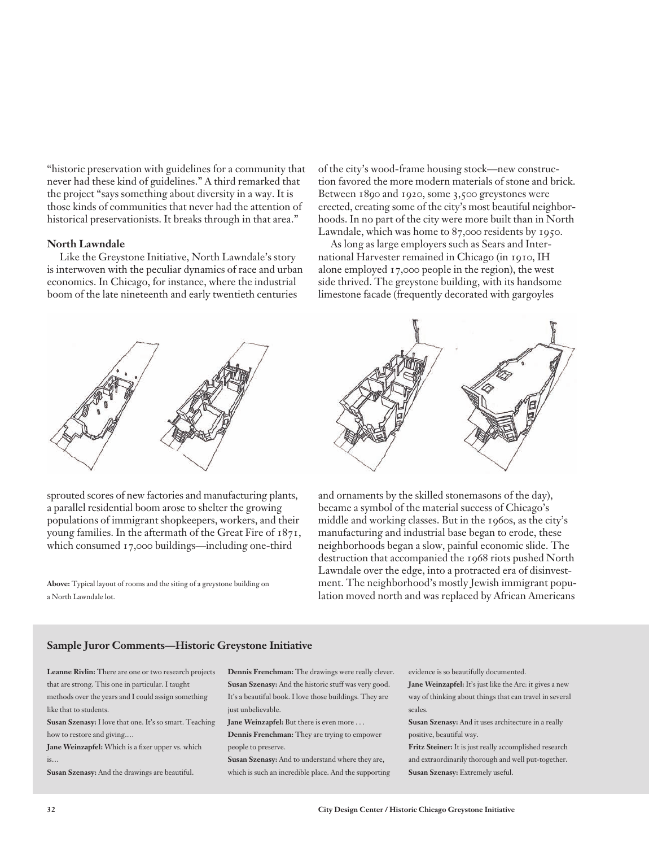"historic preservation with guidelines for a community that never had these kind of guidelines." A third remarked that the project "says something about diversity in a way. It is those kinds of communities that never had the attention of historical preservationists. It breaks through in that area."

#### **North Lawndale**

Like the Greystone Initiative, North Lawndale's story is interwoven with the peculiar dynamics of race and urban economics. In Chicago, for instance, where the industrial boom of the late nineteenth and early twentieth centuries

of the city's wood-frame housing stock—new construction favored the more modern materials of stone and brick. Between 1890 and 1920, some 3,500 greystones were erected, creating some of the city's most beautiful neighborhoods. In no part of the city were more built than in North Lawndale, which was home to 87,000 residents by 1950.

As long as large employers such as Sears and International Harvester remained in Chicago (in 1910, IH alone employed 17,000 people in the region), the west side thrived. The greystone building, with its handsome limestone facade (frequently decorated with gargoyles



sprouted scores of new factories and manufacturing plants, a parallel residential boom arose to shelter the growing populations of immigrant shopkeepers, workers, and their young families. In the aftermath of the Great Fire of 1871, which consumed 17,000 buildings—including one-third

**Above:** Typical layout of rooms and the siting of a greystone building on a North Lawndale lot.



and ornaments by the skilled stonemasons of the day), became a symbol of the material success of Chicago's middle and working classes. But in the 1960s, as the city's manufacturing and industrial base began to erode, these neighborhoods began a slow, painful economic slide. The destruction that accompanied the 1968 riots pushed North Lawndale over the edge, into a protracted era of disinvestment. The neighborhood's mostly Jewish immigrant population moved north and was replaced by African Americans

#### **Sample Juror Comments—Historic Greystone Initiative**

**Leanne Rivlin:** There are one or two research projects that are strong. This one in particular. I taught methods over the years and I could assign something like that to students.

**Susan Szenasy:** I love that one. It's so smart. Teaching how to restore and giving.…

**Jane Weinzapfel:** Which is a fixer upper vs. which  $i<sub>s</sub>$ 

**Susan Szenasy:** And the drawings are beautiful.

**Dennis Frenchman:** The drawings were really clever. **Susan Szenasy:** And the historic stuff was very good. It's a beautiful book. I love those buildings. They are just unbelievable.

**Jane Weinzapfel:** But there is even more . . .

**Dennis Frenchman:** They are trying to empower people to preserve.

**Susan Szenasy:** And to understand where they are, which is such an incredible place. And the supporting evidence is so beautifully documented.

**Jane Weinzapfel:** It's just like the Arc: it gives a new way of thinking about things that can travel in several scales.

**Susan Szenasy:** And it uses architecture in a really positive, beautiful way.

**Fritz Steiner:** It is just really accomplished research and extraordinarily thorough and well put-together. **Susan Szenasy:** Extremely useful.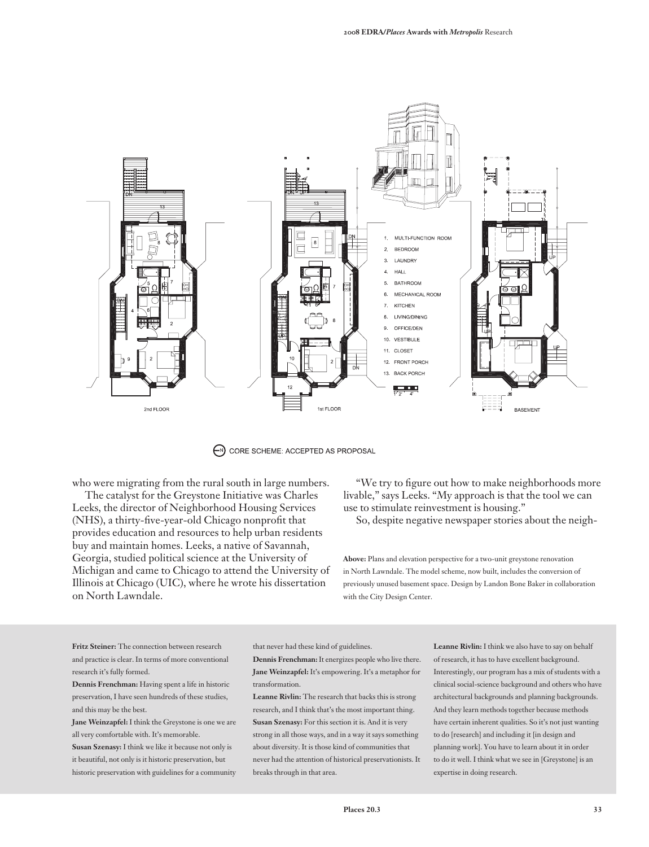

 $\bigodot$  CORE SCHEME: ACCEPTED AS PROPOSAL

who were migrating from the rural south in large numbers.

The catalyst for the Greystone Initiative was Charles Leeks, the director of Neighborhood Housing Services (NHS), a thirty-five-year-old Chicago nonprofit that provides education and resources to help urban residents buy and maintain homes. Leeks, a native of Savannah, Georgia, studied political science at the University of Michigan and came to Chicago to attend the University of Illinois at Chicago (UIC), where he wrote his dissertation on North Lawndale.

"We try to figure out how to make neighborhoods more livable," says Leeks. "My approach is that the tool we can use to stimulate reinvestment is housing."

So, despite negative newspaper stories about the neigh-

**Above:** Plans and elevation perspective for a two-unit greystone renovation in North Lawndale. The model scheme, now built, includes the conversion of previously unused basement space. Design by Landon Bone Baker in collaboration with the City Design Center.

**Fritz Steiner:** The connection between research and practice is clear. In terms of more conventional research it's fully formed.

**Dennis Frenchman:** Having spent a life in historic preservation, I have seen hundreds of these studies, and this may be the best.

**Jane Weinzapfel:** I think the Greystone is one we are all very comfortable with. It's memorable.

**Susan Szenasy:** I think we like it because not only is it beautiful, not only is it historic preservation, but historic preservation with guidelines for a community that never had these kind of guidelines.

**Dennis Frenchman:** It energizes people who live there. **Jane Weinzapfel:** It's empowering. It's a metaphor for transformation.

**Leanne Rivlin:** The research that backs this is strong research, and I think that's the most important thing. **Susan Szenasy:** For this section it is. And it is very strong in all those ways, and in a way it says something about diversity. It is those kind of communities that never had the attention of historical preservationists. It breaks through in that area.

**Leanne Rivlin:** I think we also have to say on behalf of research, it has to have excellent background. Interestingly, our program has a mix of students with a clinical social-science background and others who have architectural backgrounds and planning backgrounds. And they learn methods together because methods have certain inherent qualities. So it's not just wanting to do [research] and including it [in design and planning work]. You have to learn about it in order to do it well. I think what we see in [Greystone] is an expertise in doing research.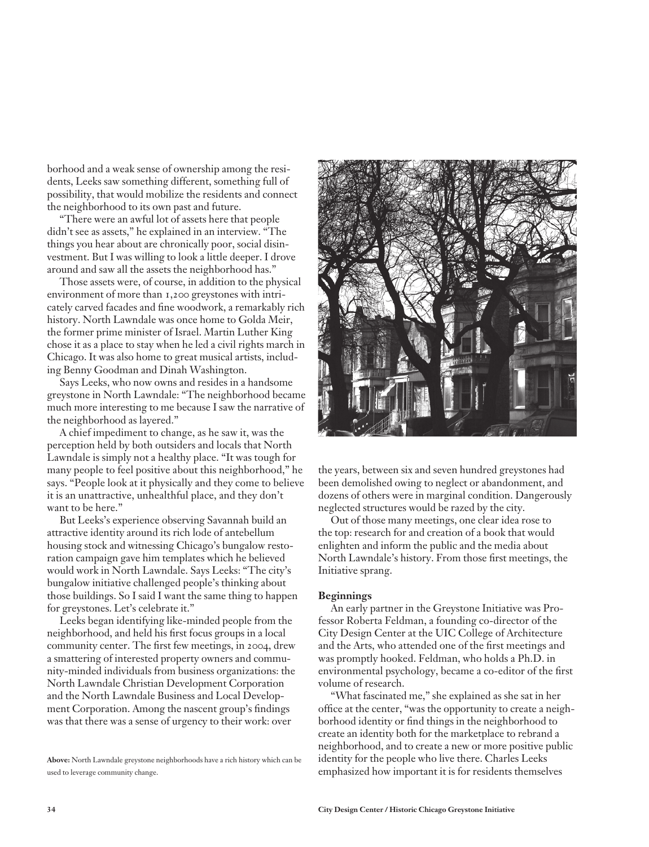borhood and a weak sense of ownership among the residents, Leeks saw something different, something full of possibility, that would mobilize the residents and connect the neighborhood to its own past and future.

"There were an awful lot of assets here that people didn't see as assets," he explained in an interview. "The things you hear about are chronically poor, social disinvestment. But I was willing to look a little deeper. I drove around and saw all the assets the neighborhood has."

Those assets were, of course, in addition to the physical environment of more than 1,200 greystones with intricately carved facades and fine woodwork, a remarkably rich history. North Lawndale was once home to Golda Meir, the former prime minister of Israel. Martin Luther King chose it as a place to stay when he led a civil rights march in Chicago. It was also home to great musical artists, including Benny Goodman and Dinah Washington.

Says Leeks, who now owns and resides in a handsome greystone in North Lawndale: "The neighborhood became much more interesting to me because I saw the narrative of the neighborhood as layered."

A chief impediment to change, as he saw it, was the perception held by both outsiders and locals that North Lawndale is simply not a healthy place. "It was tough for many people to feel positive about this neighborhood," he says. "People look at it physically and they come to believe it is an unattractive, unhealthful place, and they don't want to be here."

But Leeks's experience observing Savannah build an attractive identity around its rich lode of antebellum housing stock and witnessing Chicago's bungalow restoration campaign gave him templates which he believed would work in North Lawndale. Says Leeks: "The city's bungalow initiative challenged people's thinking about those buildings. So I said I want the same thing to happen for greystones. Let's celebrate it."

Leeks began identifying like-minded people from the neighborhood, and held his first focus groups in a local community center. The first few meetings, in 2004, drew a smattering of interested property owners and community-minded individuals from business organizations: the North Lawndale Christian Development Corporation and the North Lawndale Business and Local Development Corporation. Among the nascent group's findings was that there was a sense of urgency to their work: over



the years, between six and seven hundred greystones had been demolished owing to neglect or abandonment, and dozens of others were in marginal condition. Dangerously neglected structures would be razed by the city.

Out of those many meetings, one clear idea rose to the top: research for and creation of a book that would enlighten and inform the public and the media about North Lawndale's history. From those first meetings, the Initiative sprang.

#### **Beginnings**

An early partner in the Greystone Initiative was Professor Roberta Feldman, a founding co-director of the City Design Center at the UIC College of Architecture and the Arts, who attended one of the first meetings and was promptly hooked. Feldman, who holds a Ph.D. in environmental psychology, became a co-editor of the first volume of research.

"What fascinated me," she explained as she sat in her office at the center, "was the opportunity to create a neighborhood identity or find things in the neighborhood to create an identity both for the marketplace to rebrand a neighborhood, and to create a new or more positive public identity for the people who live there. Charles Leeks emphasized how important it is for residents themselves

**Above:** North Lawndale greystone neighborhoods have a rich history which can be used to leverage community change.